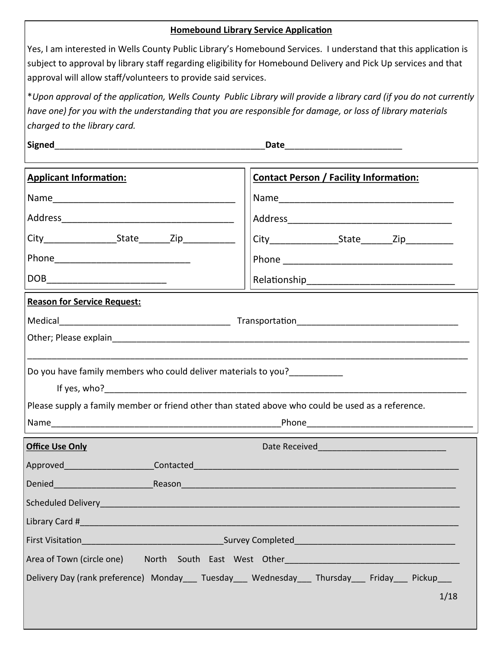## **Homebound Library Service Application**

Yes, I am interested in Wells County Public Library's Homebound Services. I understand that this application is subject to approval by library staff regarding eligibility for Homebound Delivery and Pick Up services and that approval will allow staff/volunteers to provide said services.

\**Upon approval of the application, Wells County Public Library will provide a library card (if you do not currently have one) for you with the understanding that you are responsible for damage, or loss of library materials charged to the library card.*

| Signed                                                                                                                                                                                                                               | Date                                                                                              |  |  |  |
|--------------------------------------------------------------------------------------------------------------------------------------------------------------------------------------------------------------------------------------|---------------------------------------------------------------------------------------------------|--|--|--|
| <b>Applicant Information:</b>                                                                                                                                                                                                        | <b>Contact Person / Facility Information:</b>                                                     |  |  |  |
|                                                                                                                                                                                                                                      |                                                                                                   |  |  |  |
|                                                                                                                                                                                                                                      |                                                                                                   |  |  |  |
|                                                                                                                                                                                                                                      |                                                                                                   |  |  |  |
|                                                                                                                                                                                                                                      |                                                                                                   |  |  |  |
|                                                                                                                                                                                                                                      |                                                                                                   |  |  |  |
| <b>Reason for Service Request:</b>                                                                                                                                                                                                   |                                                                                                   |  |  |  |
|                                                                                                                                                                                                                                      |                                                                                                   |  |  |  |
|                                                                                                                                                                                                                                      |                                                                                                   |  |  |  |
| Do you have family members who could deliver materials to you?____________                                                                                                                                                           | Please supply a family member or friend other than stated above who could be used as a reference. |  |  |  |
| <b>Office Use Only</b>                                                                                                                                                                                                               |                                                                                                   |  |  |  |
|                                                                                                                                                                                                                                      |                                                                                                   |  |  |  |
|                                                                                                                                                                                                                                      |                                                                                                   |  |  |  |
| Scheduled Delivery <b>Contract Contract Contract Contract Contract Contract Contract Contract Contract Contract Contract Contract Contract Contract Contract Contract Contract Contract Contract Contract Contract Contract Cont</b> |                                                                                                   |  |  |  |
| Library Card # 2008   2008   2019   2019   2019   2019   2019   2019   2019   2019   2019   2019   2019   201                                                                                                                        |                                                                                                   |  |  |  |
|                                                                                                                                                                                                                                      |                                                                                                   |  |  |  |
|                                                                                                                                                                                                                                      |                                                                                                   |  |  |  |
|                                                                                                                                                                                                                                      | Delivery Day (rank preference) Monday___ Tuesday___ Wednesday___ Thursday___ Friday___ Pickup___  |  |  |  |
|                                                                                                                                                                                                                                      | 1/18                                                                                              |  |  |  |